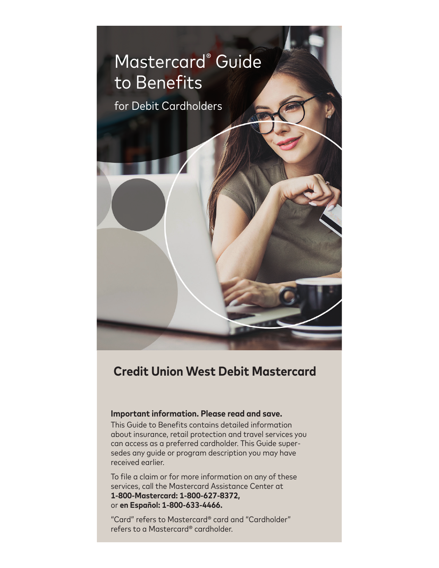

# **Credit Union West Debit Mastercard**

## **Important information. Please read and save.**

This Guide to Benefits contains detailed information about insurance, retail protection and travel services you can access as a preferred cardholder. This Guide supersedes any guide or program description you may have received earlier.

To file a claim or for more information on any of these services, call the Mastercard Assistance Center at **1-800-Mastercard: 1-800-627-8372,**  or **en Español: 1-800-633-4466.**

"Card" refers to Mastercard® card and "Cardholder" refers to a Mastercard® cardholder.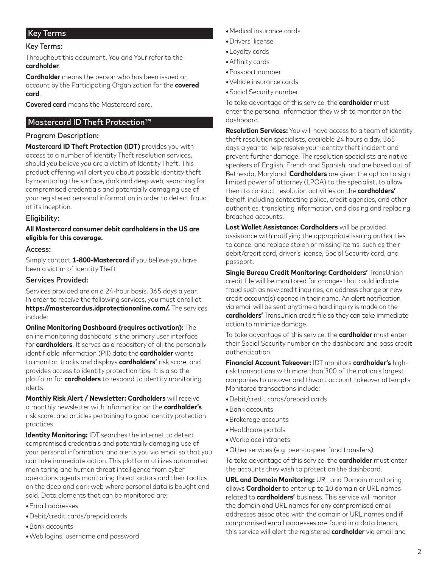# Key Terms

#### Key Terms:

Throughout this document, You and Your refer to the **cardholder**.

**Cardholder** means the person who has been issued an account by the Participating Organization for the **covered card**.

**Covered card** means the Mastercard card.

## Mastercard ID Theft Protection™

#### Program Description:

**Mastercard ID Theft Protection (IDT)** provides you with access to a number of Identity Theft resolution services, should you believe you are a victim of Identity Theft. This product offering will alert you about possible identity theft by monitoring the surface, dark and deep web, searching for compromised credentials and potentially damaging use of your registered personal information in order to detect fraud at its inception.

### Eligibility:

#### **All Mastercard consumer debit cardholders in the US are eligible for this coverage.**

#### Access:

Simply contact **1-800-Mastercard** if you believe you have been a victim of Identity Theft.

#### Services Provided:

Services provided are on a 24-hour basis, 365 days a year. In order to receive the following services, you must enroll at **https://mastercardus.idprotectiononline.com/.** The services include:

#### **Online Monitoring Dashboard (requires activation):** The online monitoring dashboard is the primary user interface for **cardholders**. It serves as a repository of all the personally identifiable information (PII) data the **cardholder** wants to monitor, tracks and displays **cardholders'** risk score, and provides access to identity protection tips. It is also the platform for **cardholders** to respond to identity monitoring alerts.

**Monthly Risk Alert / Newsletter: Cardholders** will receive a monthly newsletter with information on the **cardholder's** risk score, and articles pertaining to good identity protection practices.

**Identity Monitoring:** IDT searches the internet to detect compromised credentials and potentially damaging use of your personal information, and alerts you via email so that you can take immediate action. This platform utilizes automated monitoring and human threat intelligence from cyber operations agents monitoring threat actors and their tactics on the deep and dark web where personal data is bought and sold. Data elements that can be monitored are:

- **•**Email addresses
- **•**Debit/credit cards/prepaid cards
- **•**Bank accounts
- **•**Web logins; username and password
- **•**Medical insurance cards
- **•**Drivers' license
- **•**Loyalty cards
- **•**Affinity cards
- **•**Passport number
- **•**Vehicle insurance cards
- **•**Social Security number

To take advantage of this service, the **cardholder** must enter the personal information they wish to monitor on the dashboard.

**Resolution Services:** You will have access to a team of identity theft resolution specialists, available 24 hours a day, 365 days a year to help resolve your identity theft incident and prevent further damage. The resolution specialists are native speakers of English, French and Spanish, and are based out of Bethesda, Maryland. **Cardholders** are given the option to sign limited power of attorney (LPOA) to the specialist, to allow them to conduct resolution activities on the **cardholders'** behalf, including contacting police, credit agencies, and other authorities, translating information, and closing and replacing breached accounts.

**Lost Wallet Assistance: Cardholders** will be provided assistance with notifying the appropriate issuing authorities to cancel and replace stolen or missing items, such as their debit/credit card, driver's license, Social Security card, and passport.

**Single Bureau Credit Monitoring: Cardholders'** TransUnion credit file will be monitored for changes that could indicate fraud such as new credit inquiries, an address change or new credit account(s) opened in their name. An alert notification via email will be sent anytime a hard inquiry is made on the **cardholders'** TransUnion credit file so they can take immediate action to minimize damage.

To take advantage of this service, the **cardholder** must enter their Social Security number on the dashboard and pass credit authentication.

**Financial Account Takeover:** IDT monitors **cardholder's** highrisk transactions with more than 300 of the nation's largest companies to uncover and thwart account takeover attempts. Monitored transactions include:

- **•**Debit/credit cards/prepaid cards
- **•**Bank accounts
- **•**Brokerage accounts
- **•**Healthcare portals
- **•**Workplace intranets
- **•**Other services (e.g. peer-to-peer fund transfers)

To take advantage of this service, the **cardholder** must enter the accounts they wish to protect on the dashboard.

**URL and Domain Monitoring:** URL and Domain monitoring allows **Cardholder** to enter up to 10 domain or URL names related to **cardholders'** business. This service will monitor the domain and URL names for any compromised email addresses associated with the domain or URL names and if compromised email addresses are found in a data breach, this service will alert the registered **cardholder** via email and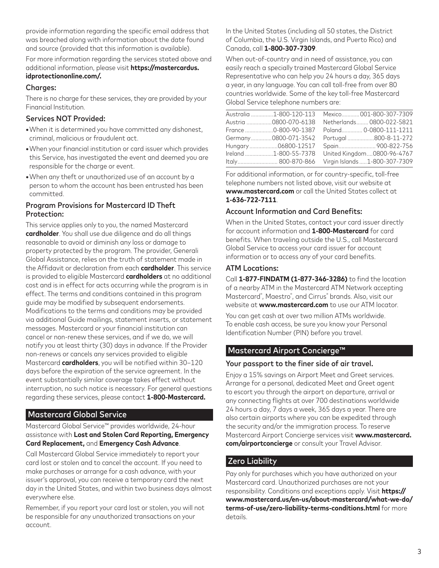provide information regarding the specific email address that was breached along with information about the date found and source (provided that this information is available).

For more information regarding the services stated above and additional information, please visit **https://mastercardus. idprotectiononline.com/.**

### Charaes:

There is no charge for these services, they are provided by your Financial Institution.

## Services NOT Provided:

- **•**When it is determined you have committed any dishonest, criminal, malicious or fraudulent act.
- **•**When your financial institution or card issuer which provides this Service, has investigated the event and deemed you are responsible for the charge or event.
- **•**When any theft or unauthorized use of an account by a person to whom the account has been entrusted has been committed.

### Program Provisions for Mastercard ID Theft Protection:

This service applies only to you, the named Mastercard **cardholder**. You shall use due diligence and do all things reasonable to avoid or diminish any loss or damage to property protected by the program. The provider, Generali Global Assistance, relies on the truth of statement made in the Affidavit or declaration from each **cardholder**. This service is provided to eligible Mastercard **cardholders** at no additional cost and is in effect for acts occurring while the program is in effect. The terms and conditions contained in this program guide may be modified by subsequent endorsements. Modifications to the terms and conditions may be provided via additional Guide mailings, statement inserts, or statement messages. Mastercard or your financial institution can cancel or non-renew these services, and if we do, we will notify you at least thirty (30) days in advance. If the Provider non-renews or cancels any services provided to eligible Mastercard **cardholders**, you will be notified within 30–120 days before the expiration of the service agreement. In the event substantially similar coverage takes effect without interruption, no such notice is necessary. For general questions regarding these services, please contact **1-800-Mastercard.**

# Mastercard Global Service

Mastercard Global Service™ provides worldwide, 24-hour assistance with **Lost and Stolen Card Reporting, Emergency Card Replacement,** and **Emergency Cash Advance**.

Call Mastercard Global Service immediately to report your card lost or stolen and to cancel the account. If you need to make purchases or arrange for a cash advance, with your issuer's approval, you can receive a temporary card the next day in the United States, and within two business days almost everywhere else.

Remember, if you report your card lost or stolen, you will not be responsible for any unauthorized transactions on your account.

In the United States (including all 50 states, the District of Columbia, the U.S. Virgin Islands, and Puerto Rico) and Canada, call **1-800-307-7309**.

When out-of-country and in need of assistance, you can easily reach a specially trained Mastercard Global Service Representative who can help you 24 hours a day, 365 days a year, in any language. You can call toll-free from over 80 countries worldwide. Some of the key toll-free Mastercard Global Service telephone numbers are:

| Australia 1-800-120-113 | Mexico 001-800-307-7309        |
|-------------------------|--------------------------------|
| Austria 0800-070-6138   | Netherlands 0800-022-5821      |
| France 0-800-90-1387    | Poland 0-0800-111-1211         |
| Germany0800-071-3542    | Portugal 800-8-11-272          |
| Hungary06800-12517      | Spain 900-822-756              |
| Ireland 1-800-55-7378   | United Kingdom0800-96-4767     |
| Italy 800-870-866       | Virgin Islands  1-800-307-7309 |

For additional information, or for country-specific, toll-free telephone numbers not listed above, visit our website at **www.mastercard.com** or call the United States collect at **1-636-722-7111**.

## Account Information and Card Benefits:

When in the United States, contact your card issuer directly for account information and **1-800-Mastercard** for card benefits. When traveling outside the U.S., call Mastercard Global Service to access your card issuer for account information or to access any of your card benefits.

### ATM Locations:

Call **1-877-FINDATM (1-877-346-3286)** to find the location of a nearby ATM in the Mastercard ATM Network accepting Mastercard® , Maestro® , and Cirrus® brands. Also, visit our website at **www.mastercard.com** to use our ATM locator.

You can get cash at over two million ATMs worldwide. To enable cash access, be sure you know your Personal Identification Number (PIN) before you travel.

# Mastercard Airport Concierge™

#### Your passport to the finer side of air travel.

Enjoy a 15% savings on Airport Meet and Greet services. Arrange for a personal, dedicated Meet and Greet agent to escort you through the airport on departure, arrival or any connecting flights at over 700 destinations worldwide 24 hours a day, 7 days a week, 365 days a year. There are also certain airports where you can be expedited through the security and/or the immigration process. To reserve Mastercard Airport Concierge services visit **www.mastercard. com/airportconcierge** or consult your Travel Advisor.

# Zero Liability

Pay only for purchases which you have authorized on your Mastercard card. Unauthorized purchases are not your responsibility. Conditions and exceptions apply. Visit **https:// www.mastercard.us/en-us/about-mastercard/what-we-do/ terms-of-use/zero-liability-terms-conditions.html** for more details.